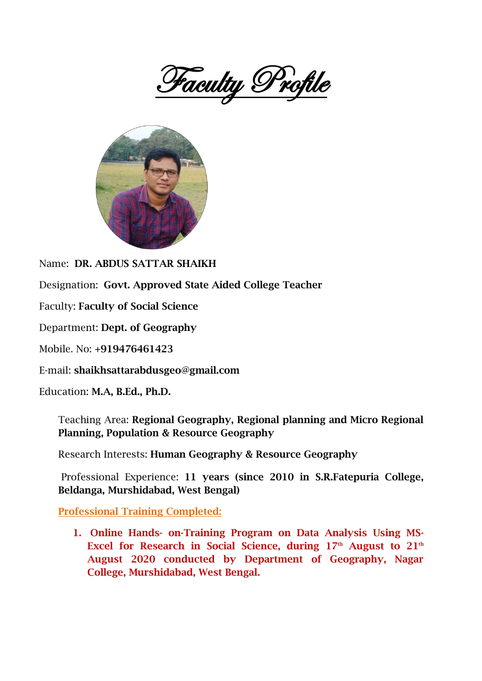



Name: DR. ABDUS SATTAR SHAIKH

Designation: Govt. Approved State Aided College Teacher

Faculty: Faculty of Social Science

Department: Dept. of Geography

Mobile. No: +919476461423

E-mail: shaikhsattarabdusgeo@gmail.com

Education: M.A, B.Ed., Ph.D.

Teaching Area: Regional Geography, Regional planning and Micro Regional Planning, Population & Resource Geography

Research Interests: Human Geography & Resource Geography

Professional Experience: 11 years (since 2010 in S.R.Fatepuria College, Beldanga, Murshidabad, West Bengal)

Professional Training Completed:

1. Online Hands- on-Training Program on Data Analysis Using MS-Excel for Research in Social Science, during  $17<sup>th</sup>$  August to  $21<sup>th</sup>$ August 2020 conducted by Department of Geography, Nagar College, Murshidabad, West Bengal.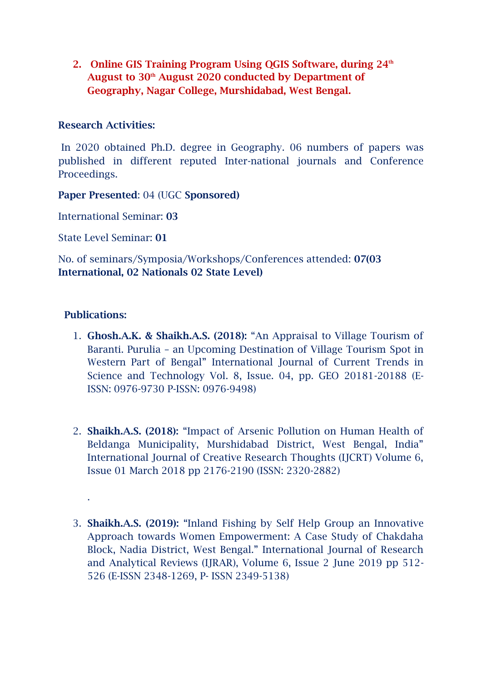## 2. Online GIS Training Program Using QGIS Software, during  $24<sup>th</sup>$ August to 30<sup>th</sup> August 2020 conducted by Department of Geography, Nagar College, Murshidabad, West Bengal.

## Research Activities:

In 2020 obtained Ph.D. degree in Geography. 06 numbers of papers was published in different reputed Inter-national journals and Conference Proceedings.

Paper Presented: 04 (UGC Sponsored)

International Seminar: 03

State Level Seminar: 01

No. of seminars/Symposia/Workshops/Conferences attended: 07(03 International, 02 Nationals 02 State Level)

## Publications:

.

- 1. Ghosh.A.K. & Shaikh.A.S. (2018): "An Appraisal to Village Tourism of Baranti. Purulia – an Upcoming Destination of Village Tourism Spot in Western Part of Bengal" International Journal of Current Trends in Science and Technology Vol. 8, Issue. 04, pp. GEO 20181-20188 (E-ISSN: 0976-9730 P-ISSN: 0976-9498)
- 2. Shaikh.A.S. (2018): "Impact of Arsenic Pollution on Human Health of Beldanga Municipality, Murshidabad District, West Bengal, India" International Journal of Creative Research Thoughts (IJCRT) Volume 6, Issue 01 March 2018 pp 2176-2190 (ISSN: 2320-2882)
- 3. Shaikh.A.S. (2019): "Inland Fishing by Self Help Group an Innovative Approach towards Women Empowerment: A Case Study of Chakdaha Block, Nadia District, West Bengal." International Journal of Research and Analytical Reviews (IJRAR), Volume 6, Issue 2 June 2019 pp 512- 526 (E-ISSN 2348-1269, P- ISSN 2349-5138)